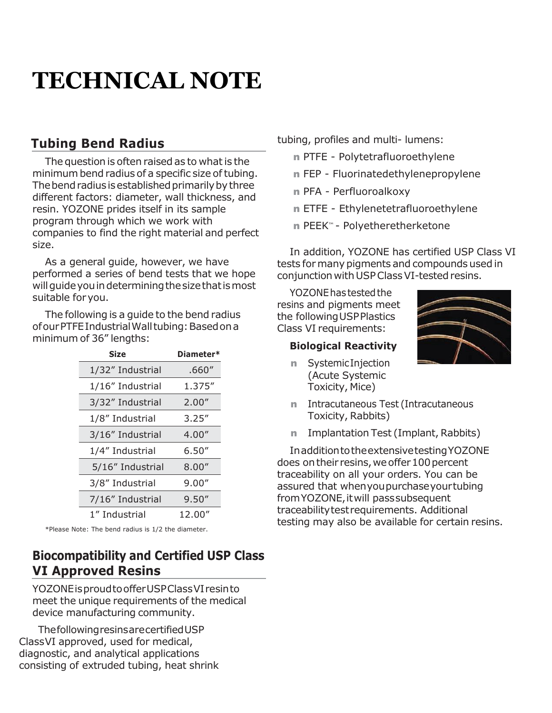## **Tubing Bend Radius**

The question is often raised as to what is the minimum bend radius of a specific size of tubing. The bend radius is established primarily by three different factors: diameter, wall thickness, and resin. YOZONE prides itself in its sample program through which we work with companies to find the right material and perfect size.

As a general guide, however, we have performed a series of bend tests that we hope willguideyouindeterminingthesizethatismost suitable foryou.

The following is a guide to the bend radius of our PTFE Industrial Wall tubing: Based on a minimum of 36" lengths:

| professor                           | Diameter* | <b>Size</b>      |
|-------------------------------------|-----------|------------------|
| <b>Syste</b><br>n<br>(Acu           | .660''    | 1/32" Industrial |
| Toxio                               | 1.375"    | 1/16" Industrial |
| Intra<br>n                          | 2.00''    | 3/32" Industrial |
| Toxio                               | 3.25''    | 1/8" Industrial  |
| Impl<br>n                           | 4.00''    | 3/16" Industrial |
| Inadditio                           | 6.50''    | 1/4" Industrial  |
| does on the<br>traceability         | 8.00''    | 5/16" Industrial |
| assured tha                         | 9.00''    | 3/8" Industrial  |
| from YOZOI                          | 9.50''    | 7/16" Industrial |
| traceability<br>دهن به میگیاند میبا | 12.00"    | 1" Industrial    |

\*Please Note: The bend radius is 1/2 the diameter.

## **Biocompatibility and Certified USP Class VI Approved Resins**

YOZONEisproudtoofferUSPClassVIresinto meet the unique requirements of the medical device manufacturing community.

ThefollowingresinsarecertifiedUSP ClassVI approved, used for medical, diagnostic, and analytical applications consisting of extruded tubing, heat shrink tubing, profiles and multi- lumens:

- n PTFE Polytetrafluoroethylene
- n FEP Fluorinatedethylenepropylene
- n PFA Perfluoroalkoxy
- n ETFE Ethylenetetrafluoroethylene
- n PEEK™ Polyetheretherketone

In addition, YOZONE has certified USP Class VI tests formany pigments and compounds used in conjunction with USP Class VI-tested resins.

YOZONEhastestedthe resins and pigments meet the followingUSPPlastics Class VI requirements:

#### **Biological Reactivity**

n SystemicInjection (Acute Systemic Toxicity, Mice)



- n Intracutaneous Test (Intracutaneous Toxicity, Rabbits)
- n Implantation Test (Implant, Rabbits)

InadditiontotheextensivetestingYOZONE does on their resins, we offer 100 percent traceability on all your orders. You can be assured that whenyoupurchaseyourtubing from YOZONE, it will pass subsequent traceabilitytestrequirements. Additional testing may also be available for certain resins.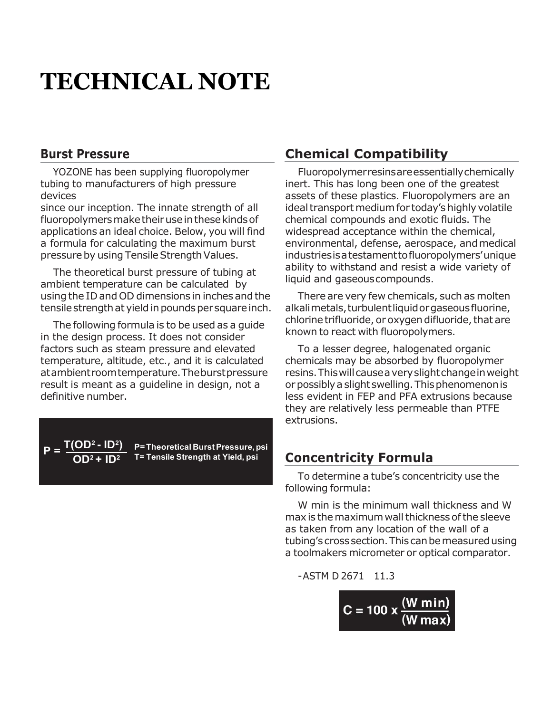#### **Burst Pressure**

YOZONE has been supplying fluoropolymer tubing to manufacturers of high pressure devices

since our inception. The innate strength of all fluoropolymers make their use in these kinds of applications an ideal choice. Below, you will find a formula for calculating the maximum burst pressure by using Tensile Strength Values.

The theoretical burst pressure of tubing at ambient temperature can be calculated by using the IDand OD dimensions in inches and the tensile strength at yield in pounds per square inch.

The following formula is to be used as a guide in the design process. It does not consider factors such as steam pressure and elevated temperature, altitude, etc., and it is calculated atambientroomtemperature.Theburstpressure result is meant as a guideline in design, not a definitive number.

 $P = T(OD^2 - ID^2)$ 

**P=Theoretical BurstPressure,psi OD<sup>2</sup> T= Tensile Strength at Yield, psi + ID<sup>2</sup>**

### **Chemical Compatibility**

Fluoropolymerresinsareessentiallychemically inert. This has long been one of the greatest assets of these plastics. Fluoropolymers are an ideal transport medium for today's highly volatile chemical compounds and exotic fluids. The widespread acceptance within the chemical, environmental, defense, aerospace, andmedical industriesisatestamenttofluoropolymers'unique ability to withstand and resist a wide variety of liquid and gaseouscompounds.

There are very few chemicals, such as molten alkalimetals,turbulentliquidorgaseousfluorine, chlorine trifluoride, or oxygen difluoride, that are known to react with fluoropolymers.

To a lesser degree, halogenated organic chemicals may be absorbed by fluoropolymer resins.Thiswillcauseaveryslightchangeinweight or possibly a slight swelling. This phenomenon is less evident in FEP and PFA extrusions because they are relatively less permeable than PTFE extrusions.

### **Concentricity Formula**

To determine a tube's concentricity use the following formula:

W min is the minimum wall thickness and W max is the maximum wall thickness of the sleeve as taken from any location of the wall of a tubing's cross section. This can be measured using a toolmakers micrometer or optical comparator.

 $-$ ASTM D 2671 11.3

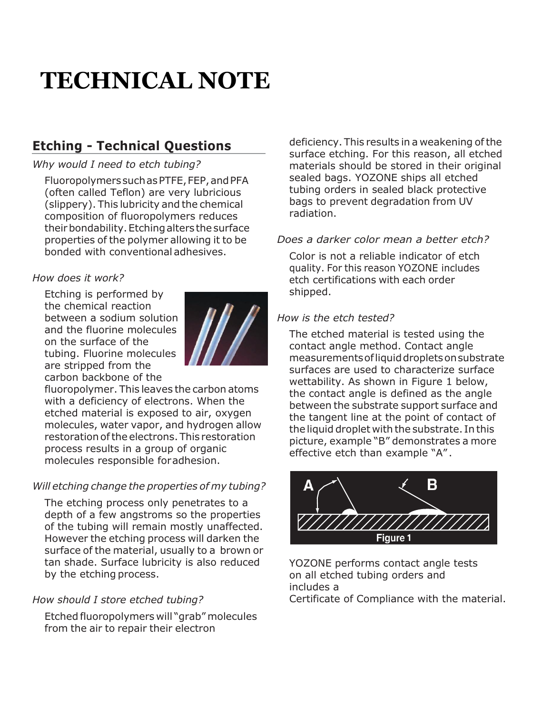## **Etching - Technical Questions**

#### *Why would I need to etch tubing?*

FluoropolymerssuchasPTFE,FEP,andPFA (often called Teflon) are very lubricious (slippery). This lubricity and the chemical composition of fluoropolymers reduces their bondability. Etching alters the surface properties of the polymer allowing it to be bonded with conventional adhesives.

#### *How does it work?*

Etching is performed by the chemical reaction between a sodium solution and the fluorine molecules on the surface of the tubing. Fluorine molecules are stripped from the carbon backbone of the



fluoropolymer. This leaves the carbon atoms with a deficiency of electrons. When the etched material is exposed to air, oxygen molecules, water vapor, and hydrogen allow restoration of the electrons. This restoration process results in a group of organic molecules responsible foradhesion.

#### *Will etching change the properties of my tubing?*

The etching process only penetrates to a depth of a few angstroms so the properties of the tubing will remain mostly unaffected. However the etching process will darken the surface of the material, usually to a brown or tan shade. Surface lubricity is also reduced by the etching process.

#### *How should I store etched tubing?*

Etched fluoropolymers will "grab" molecules from the air to repair their electron

deficiency. This results in a weakening ofthe surface etching. For this reason, all etched materials should be stored in their original sealed bags. YOZONE ships all etched tubing orders in sealed black protective bags to prevent degradation from UV radiation.

#### *Does a darker color mean a better etch?*

Color is not a reliable indicator of etch quality. For this reason YOZONE includes etch certifications with each order shipped.

#### *How is the etch tested?*

The etched material is tested using the contact angle method. Contact angle measurementsofliquiddropletsonsubstrate surfaces are used to characterize surface wettability. As shown in Figure 1 below, the contact angle is defined as the angle between the substrate support surface and the tangent line at the point of contact of the liquid droplet with the substrate. In this picture, example "B" demonstrates a more effective etch than example "A" .



YOZONE performs contact angle tests on all etched tubing orders and includes a Certificate of Compliance with the material.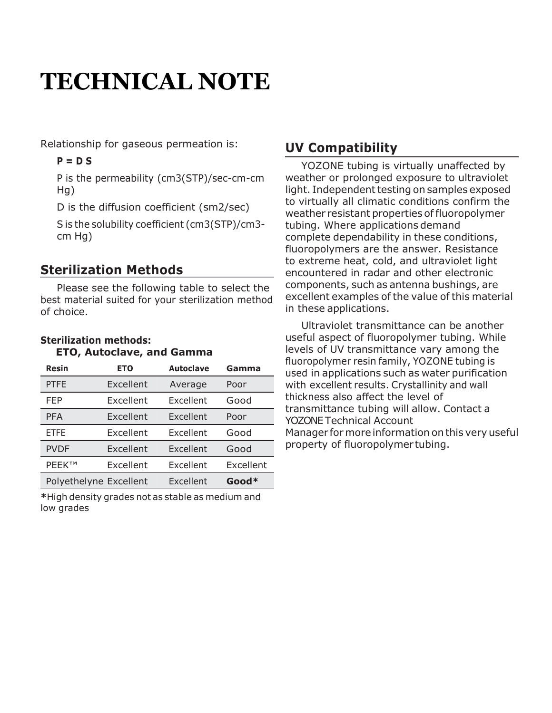Relationship for gaseous permeation is:

#### **P = D S**

P is the permeability (cm3(STP)/sec-cm-cm Hg)

D is the diffusion coefficient (sm2/sec)

S is the solubility coefficient (cm3(STP)/cm3 cm Hg)

### **Sterilization Methods**

Please see the following table to select the best material suited for your sterilization method of choice.

#### **Sterilization methods: ETO, Autoclave, and Gamma**

| <b>Resin</b>           | <b>ETO</b> | <b>Autoclave</b> | Gamma     | <b>HUVI UPUTYTHEL LESITE</b><br>used in applications |
|------------------------|------------|------------------|-----------|------------------------------------------------------|
| <b>PTFE</b>            | Excellent  | Average          | Poor      | with excellent result                                |
| <b>FEP</b>             | Excellent  | Excellent        | Good      | thickness also affec<br>transmittance tubir          |
| <b>PFA</b>             | Excellent  | Excellent        | Poor      | <b>YOZONE Technical A</b>                            |
| <b>ETFE</b>            | Excellent  | Excellent        | Good      | Manager for more in                                  |
| <b>PVDF</b>            | Excellent  | Excellent        | Good      | property of fluorop                                  |
| <b>PEEK™</b>           | Excellent  | Excellent        | Excellent |                                                      |
| Polyethelyne Excellent |            | Excellent        | Good*     |                                                      |

**\***High density grades not as stable as medium and low grades

## **UV Compatibility**

YOZONE tubing is virtually unaffected by weather or prolonged exposure to ultraviolet light. Independent testing on samples exposed to virtually all climatic conditions confirm the weather resistant properties of fluoropolymer tubing. Where applications demand complete dependability in these conditions, fluoropolymers are the answer. Resistance to extreme heat, cold, and ultraviolet light encountered in radar and other electronic components, such as antenna bushings, are excellent examples of the value of this material in these applications.

**Resin ETO Autoclave Gamma** used in applications such as water purification PTFE The Excellent Average Poor The With excellent results. Crystallinity and wall FEP Excellent Excellent Good thickness also affect the level of ETFE Excellent Excellent Good Manager for more information on this very useful Ultraviolet transmittance can be another useful aspect of fluoropolymer tubing. While levels of UV transmittance vary among the fluoropolymer resin family, YOZONE tubing is transmittance tubing will allow. Contact a YOZONE Technical Account property of fluoropolymer tubing.